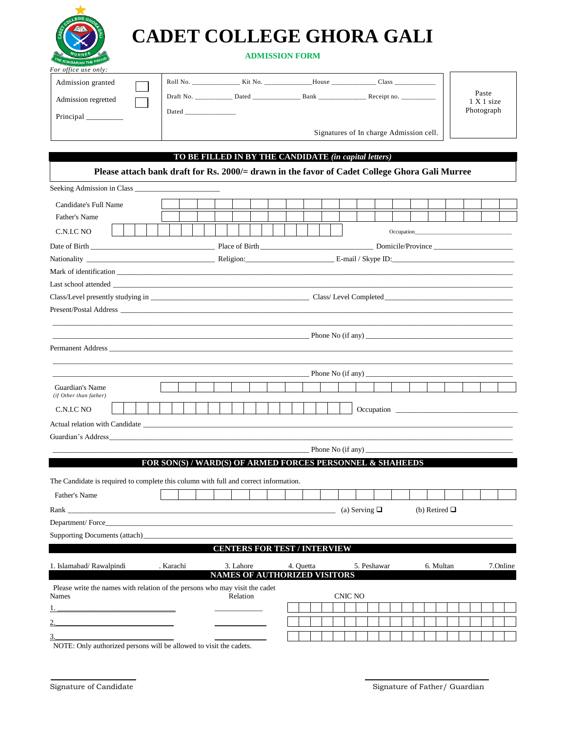

 $\mathsf{I}$ 

# **CADET COLLEGE GHORA GALI**

## **ADMISSION FORM**

| Admission granted   | Roll No.  | Kit No. | House | Class                                   |                     |
|---------------------|-----------|---------|-------|-----------------------------------------|---------------------|
| Admission regretted | Draft No. | Dated   | Bank  | Receipt no.                             | Paste<br>1 X 1 size |
| Principal           | Dated     |         |       |                                         | Photograph          |
|                     |           |         |       | Signatures of In charge Admission cell. |                     |

### **TO BE FILLED IN BY THE CANDIDATE** *(in capital letters)*

| Seeking Admission in Class<br>Candidate's Full Name<br>Father's Name<br>C.N.I.C NO<br>Occupation_<br>$\Delta$ Phone No (if any)<br>Guardian's Name<br>(if Other than father)<br>Occupation<br>C.N.I.C NO<br>FOR SON(S) / WARD(S) OF ARMED FORCES PERSONNEL & SHAHEEDS<br>Father's Name<br>(b) Retired $\Box$<br><b>CENTERS FOR TEST / INTERVIEW</b><br>3. Lahore<br>4. Quetta<br>. Karachi<br>5. Peshawar<br>6. Multan<br>7.Online<br>NAMES OF AUTHORIZED VISITORS<br>Please write the names with relation of the persons who may visit the cadet<br>Relation<br><b>CNIC NO</b><br><u> 1989 - Johann Harry Harry Harry Harry Harry Harry Harry Harry Harry Harry Harry Harry Harry Harry Harry Harry</u>                                                           | Please attach bank draft for Rs. 2000/= drawn in the favor of Cadet College Ghora Gali Murree |  |  |  |  |  |  |  |  |  |  |  |  |  |
|--------------------------------------------------------------------------------------------------------------------------------------------------------------------------------------------------------------------------------------------------------------------------------------------------------------------------------------------------------------------------------------------------------------------------------------------------------------------------------------------------------------------------------------------------------------------------------------------------------------------------------------------------------------------------------------------------------------------------------------------------------------------|-----------------------------------------------------------------------------------------------|--|--|--|--|--|--|--|--|--|--|--|--|--|
|                                                                                                                                                                                                                                                                                                                                                                                                                                                                                                                                                                                                                                                                                                                                                                    |                                                                                               |  |  |  |  |  |  |  |  |  |  |  |  |  |
| Date of Birth Domicile/Province Domicile/Province<br>Nationality E-mail / Skype ID:<br>Mark of identification expansion and the state of the state of the state of the state of the state of the state of the state of the state of the state of the state of the state of the state of the state of the state of the<br>Guardian's Address and the contract of the contract of the contract of the contract of the contract of the contract of the contract of the contract of the contract of the contract of the contract of the contract of the con<br>The Candidate is required to complete this column with full and correct information.<br>Rank (a) Serving $\Box$ (a) Serving $\Box$<br>Department/Force<br>1. Islamabad/Rawalpindi<br><b>Names</b><br>3. |                                                                                               |  |  |  |  |  |  |  |  |  |  |  |  |  |
|                                                                                                                                                                                                                                                                                                                                                                                                                                                                                                                                                                                                                                                                                                                                                                    |                                                                                               |  |  |  |  |  |  |  |  |  |  |  |  |  |
|                                                                                                                                                                                                                                                                                                                                                                                                                                                                                                                                                                                                                                                                                                                                                                    |                                                                                               |  |  |  |  |  |  |  |  |  |  |  |  |  |
|                                                                                                                                                                                                                                                                                                                                                                                                                                                                                                                                                                                                                                                                                                                                                                    |                                                                                               |  |  |  |  |  |  |  |  |  |  |  |  |  |
|                                                                                                                                                                                                                                                                                                                                                                                                                                                                                                                                                                                                                                                                                                                                                                    |                                                                                               |  |  |  |  |  |  |  |  |  |  |  |  |  |
|                                                                                                                                                                                                                                                                                                                                                                                                                                                                                                                                                                                                                                                                                                                                                                    |                                                                                               |  |  |  |  |  |  |  |  |  |  |  |  |  |
|                                                                                                                                                                                                                                                                                                                                                                                                                                                                                                                                                                                                                                                                                                                                                                    |                                                                                               |  |  |  |  |  |  |  |  |  |  |  |  |  |
|                                                                                                                                                                                                                                                                                                                                                                                                                                                                                                                                                                                                                                                                                                                                                                    |                                                                                               |  |  |  |  |  |  |  |  |  |  |  |  |  |
|                                                                                                                                                                                                                                                                                                                                                                                                                                                                                                                                                                                                                                                                                                                                                                    |                                                                                               |  |  |  |  |  |  |  |  |  |  |  |  |  |
|                                                                                                                                                                                                                                                                                                                                                                                                                                                                                                                                                                                                                                                                                                                                                                    |                                                                                               |  |  |  |  |  |  |  |  |  |  |  |  |  |
|                                                                                                                                                                                                                                                                                                                                                                                                                                                                                                                                                                                                                                                                                                                                                                    |                                                                                               |  |  |  |  |  |  |  |  |  |  |  |  |  |
|                                                                                                                                                                                                                                                                                                                                                                                                                                                                                                                                                                                                                                                                                                                                                                    |                                                                                               |  |  |  |  |  |  |  |  |  |  |  |  |  |
|                                                                                                                                                                                                                                                                                                                                                                                                                                                                                                                                                                                                                                                                                                                                                                    |                                                                                               |  |  |  |  |  |  |  |  |  |  |  |  |  |
|                                                                                                                                                                                                                                                                                                                                                                                                                                                                                                                                                                                                                                                                                                                                                                    |                                                                                               |  |  |  |  |  |  |  |  |  |  |  |  |  |
|                                                                                                                                                                                                                                                                                                                                                                                                                                                                                                                                                                                                                                                                                                                                                                    |                                                                                               |  |  |  |  |  |  |  |  |  |  |  |  |  |
|                                                                                                                                                                                                                                                                                                                                                                                                                                                                                                                                                                                                                                                                                                                                                                    |                                                                                               |  |  |  |  |  |  |  |  |  |  |  |  |  |
|                                                                                                                                                                                                                                                                                                                                                                                                                                                                                                                                                                                                                                                                                                                                                                    |                                                                                               |  |  |  |  |  |  |  |  |  |  |  |  |  |
|                                                                                                                                                                                                                                                                                                                                                                                                                                                                                                                                                                                                                                                                                                                                                                    |                                                                                               |  |  |  |  |  |  |  |  |  |  |  |  |  |
|                                                                                                                                                                                                                                                                                                                                                                                                                                                                                                                                                                                                                                                                                                                                                                    |                                                                                               |  |  |  |  |  |  |  |  |  |  |  |  |  |
|                                                                                                                                                                                                                                                                                                                                                                                                                                                                                                                                                                                                                                                                                                                                                                    |                                                                                               |  |  |  |  |  |  |  |  |  |  |  |  |  |
|                                                                                                                                                                                                                                                                                                                                                                                                                                                                                                                                                                                                                                                                                                                                                                    |                                                                                               |  |  |  |  |  |  |  |  |  |  |  |  |  |
|                                                                                                                                                                                                                                                                                                                                                                                                                                                                                                                                                                                                                                                                                                                                                                    |                                                                                               |  |  |  |  |  |  |  |  |  |  |  |  |  |
|                                                                                                                                                                                                                                                                                                                                                                                                                                                                                                                                                                                                                                                                                                                                                                    |                                                                                               |  |  |  |  |  |  |  |  |  |  |  |  |  |
|                                                                                                                                                                                                                                                                                                                                                                                                                                                                                                                                                                                                                                                                                                                                                                    |                                                                                               |  |  |  |  |  |  |  |  |  |  |  |  |  |
|                                                                                                                                                                                                                                                                                                                                                                                                                                                                                                                                                                                                                                                                                                                                                                    |                                                                                               |  |  |  |  |  |  |  |  |  |  |  |  |  |
|                                                                                                                                                                                                                                                                                                                                                                                                                                                                                                                                                                                                                                                                                                                                                                    |                                                                                               |  |  |  |  |  |  |  |  |  |  |  |  |  |
|                                                                                                                                                                                                                                                                                                                                                                                                                                                                                                                                                                                                                                                                                                                                                                    |                                                                                               |  |  |  |  |  |  |  |  |  |  |  |  |  |
|                                                                                                                                                                                                                                                                                                                                                                                                                                                                                                                                                                                                                                                                                                                                                                    |                                                                                               |  |  |  |  |  |  |  |  |  |  |  |  |  |
|                                                                                                                                                                                                                                                                                                                                                                                                                                                                                                                                                                                                                                                                                                                                                                    |                                                                                               |  |  |  |  |  |  |  |  |  |  |  |  |  |
|                                                                                                                                                                                                                                                                                                                                                                                                                                                                                                                                                                                                                                                                                                                                                                    |                                                                                               |  |  |  |  |  |  |  |  |  |  |  |  |  |
|                                                                                                                                                                                                                                                                                                                                                                                                                                                                                                                                                                                                                                                                                                                                                                    |                                                                                               |  |  |  |  |  |  |  |  |  |  |  |  |  |
|                                                                                                                                                                                                                                                                                                                                                                                                                                                                                                                                                                                                                                                                                                                                                                    |                                                                                               |  |  |  |  |  |  |  |  |  |  |  |  |  |
|                                                                                                                                                                                                                                                                                                                                                                                                                                                                                                                                                                                                                                                                                                                                                                    |                                                                                               |  |  |  |  |  |  |  |  |  |  |  |  |  |

NOTE: Only authorized persons will be allowed to visit the cadets.